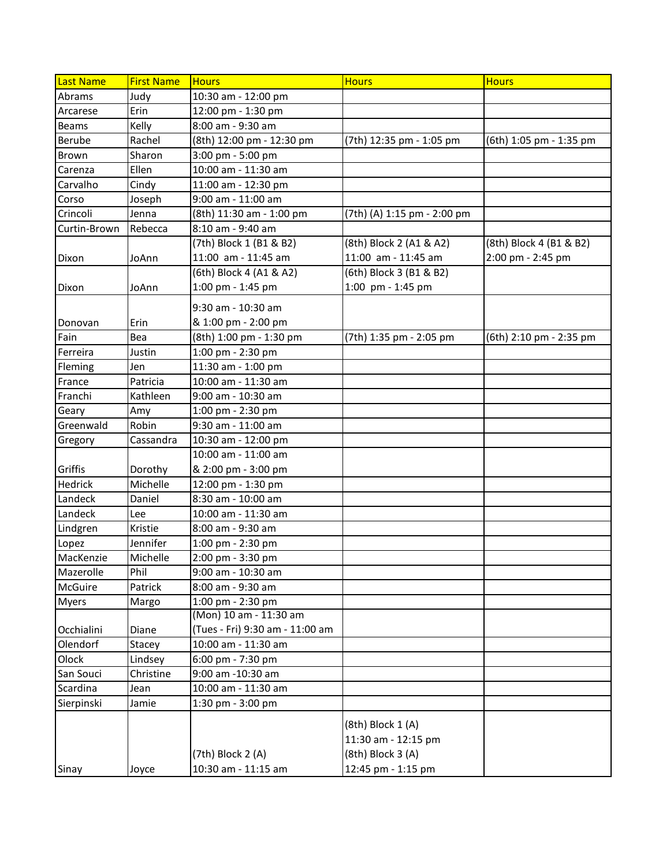| Last Name    | <b>First Name</b> | <b>Hours</b>                    | <b>Hours</b>                | <b>Hours</b>            |
|--------------|-------------------|---------------------------------|-----------------------------|-------------------------|
| Abrams       | Judy              | 10:30 am - 12:00 pm             |                             |                         |
| Arcarese     | Erin              | 12:00 pm - 1:30 pm              |                             |                         |
| <b>Beams</b> | Kelly             | 8:00 am - 9:30 am               |                             |                         |
| Berube       | Rachel            | (8th) 12:00 pm - 12:30 pm       | (7th) 12:35 pm - 1:05 pm    | (6th) 1:05 pm - 1:35 pm |
| <b>Brown</b> | Sharon            | 3:00 pm - 5:00 pm               |                             |                         |
| Carenza      | Ellen             | 10:00 am - 11:30 am             |                             |                         |
| Carvalho     | Cindy             | 11:00 am - 12:30 pm             |                             |                         |
| Corso        | Joseph            | 9:00 am - 11:00 am              |                             |                         |
| Crincoli     | Jenna             | (8th) 11:30 am - 1:00 pm        | (7th) (A) 1:15 pm - 2:00 pm |                         |
| Curtin-Brown | Rebecca           | 8:10 am - 9:40 am               |                             |                         |
|              |                   | (7th) Block 1 (B1 & B2)         | (8th) Block 2 (A1 & A2)     | (8th) Block 4 (B1 & B2) |
| Dixon        | JoAnn             | 11:00 am - 11:45 am             | 11:00 am - 11:45 am         | 2:00 pm - 2:45 pm       |
|              |                   | (6th) Block 4 (A1 & A2)         | (6th) Block 3 (B1 & B2)     |                         |
| Dixon        | JoAnn             | 1:00 pm - 1:45 pm               | 1:00 pm - 1:45 pm           |                         |
|              |                   | 9:30 am - 10:30 am              |                             |                         |
| Donovan      | Erin              | & 1:00 pm - 2:00 pm             |                             |                         |
| Fain         | Bea               | (8th) 1:00 pm - 1:30 pm         | (7th) 1:35 pm - 2:05 pm     | (6th) 2:10 pm - 2:35 pm |
| Ferreira     | Justin            | 1:00 pm - 2:30 pm               |                             |                         |
| Fleming      | Jen               | 11:30 am - 1:00 pm              |                             |                         |
| France       | Patricia          | 10:00 am - 11:30 am             |                             |                         |
| Franchi      | Kathleen          | 9:00 am - 10:30 am              |                             |                         |
| Geary        | Amy               | 1:00 pm - 2:30 pm               |                             |                         |
| Greenwald    | Robin             | 9:30 am - 11:00 am              |                             |                         |
| Gregory      | Cassandra         | 10:30 am - 12:00 pm             |                             |                         |
|              |                   | 10:00 am - 11:00 am             |                             |                         |
| Griffis      | Dorothy           | & 2:00 pm - 3:00 pm             |                             |                         |
| Hedrick      | Michelle          | 12:00 pm - 1:30 pm              |                             |                         |
| Landeck      | Daniel            | 8:30 am - 10:00 am              |                             |                         |
| Landeck      | Lee               | 10:00 am - 11:30 am             |                             |                         |
| Lindgren     | Kristie           | 8:00 am - 9:30 am               |                             |                         |
| Lopez        | Jennifer          | 1:00 pm - 2:30 pm               |                             |                         |
| MacKenzie    | Michelle          | 2:00 pm - 3:30 pm               |                             |                         |
| Mazerolle    | Phil              | 9:00 am - 10:30 am              |                             |                         |
| McGuire      | Patrick           | 8:00 am - 9:30 am               |                             |                         |
| <b>Myers</b> | Margo             | 1:00 pm - 2:30 pm               |                             |                         |
|              |                   | (Mon) 10 am - 11:30 am          |                             |                         |
| Occhialini   | Diane             | (Tues - Fri) 9:30 am - 11:00 am |                             |                         |
| Olendorf     | Stacey            | 10:00 am - 11:30 am             |                             |                         |
| Olock        | Lindsey           | 6:00 pm - 7:30 pm               |                             |                         |
| San Souci    | Christine         | 9:00 am -10:30 am               |                             |                         |
| Scardina     | Jean              | 10:00 am - 11:30 am             |                             |                         |
| Sierpinski   | Jamie             | 1:30 pm - 3:00 pm               |                             |                         |
|              |                   |                                 | (8th) Block 1 (A)           |                         |
|              |                   |                                 | 11:30 am - 12:15 pm         |                         |
|              |                   | (7th) Block 2 (A)               | (8th) Block 3 (A)           |                         |
| Sinay        | Joyce             | 10:30 am - 11:15 am             | 12:45 pm - 1:15 pm          |                         |